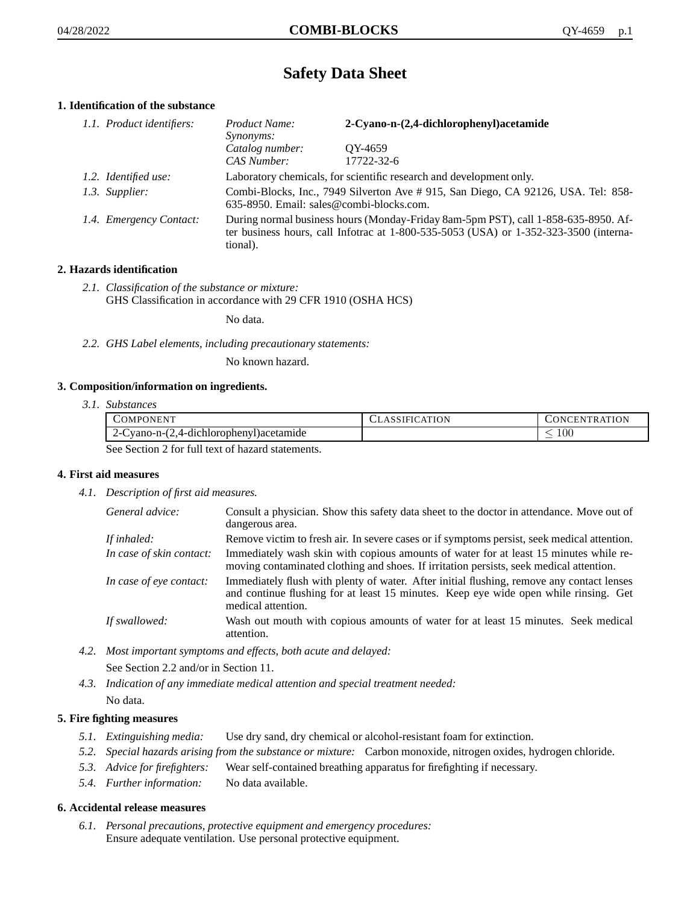# **Safety Data Sheet**

# **1. Identification of the substance**

| 1.1. Product identifiers: | Product Name:<br><i>Synonyms:</i>                                                                                                                                                           | 2-Cyano-n-(2,4-dichlorophenyl) acetamide |
|---------------------------|---------------------------------------------------------------------------------------------------------------------------------------------------------------------------------------------|------------------------------------------|
|                           | Catalog number:<br>CAS Number:                                                                                                                                                              | OY-4659<br>17722-32-6                    |
| 1.2. Identified use:      | Laboratory chemicals, for scientific research and development only.                                                                                                                         |                                          |
| 1.3. Supplier:            | Combi-Blocks, Inc., 7949 Silverton Ave # 915, San Diego, CA 92126, USA. Tel: 858-<br>635-8950. Email: sales@combi-blocks.com.                                                               |                                          |
| 1.4. Emergency Contact:   | During normal business hours (Monday-Friday 8am-5pm PST), call 1-858-635-8950. Af-<br>ter business hours, call Infotrac at $1-800-535-5053$ (USA) or $1-352-323-3500$ (interna-<br>tional). |                                          |

# **2. Hazards identification**

*2.1. Classification of the substance or mixture:* GHS Classification in accordance with 29 CFR 1910 (OSHA HCS)

No data.

*2.2. GHS Label elements, including precautionary statements:*

No known hazard.

## **3. Composition/information on ingredients.**

*3.1. Substances*

| COMPONENT                                      | CLASSIFICATION | CONCENTRATION. |
|------------------------------------------------|----------------|----------------|
| 2-Cyano-n-(2,4-dichlorophenyl) acetamide       |                | 100            |
| See Section 2 for full toxi of here determined |                |                |

See Section 2 for full text of hazard statements.

## **4. First aid measures**

*4.1. Description of first aid measures.*

| General advice:          | Consult a physician. Show this safety data sheet to the doctor in attendance. Move out of<br>dangerous area.                                                                                            |
|--------------------------|---------------------------------------------------------------------------------------------------------------------------------------------------------------------------------------------------------|
| If inhaled:              | Remove victim to fresh air. In severe cases or if symptoms persist, seek medical attention.                                                                                                             |
| In case of skin contact: | Immediately wash skin with copious amounts of water for at least 15 minutes while re-<br>moving contaminated clothing and shoes. If irritation persists, seek medical attention.                        |
| In case of eye contact:  | Immediately flush with plenty of water. After initial flushing, remove any contact lenses<br>and continue flushing for at least 15 minutes. Keep eye wide open while rinsing. Get<br>medical attention. |
| If swallowed:            | Wash out mouth with copious amounts of water for at least 15 minutes. Seek medical<br>attention.                                                                                                        |

*4.2. Most important symptoms and effects, both acute and delayed:*

See Section 2.2 and/or in Section 11.

*4.3. Indication of any immediate medical attention and special treatment needed:* No data.

# **5. Fire fighting measures**

- *5.1. Extinguishing media:* Use dry sand, dry chemical or alcohol-resistant foam for extinction.
- *5.2. Special hazards arising from the substance or mixture:* Carbon monoxide, nitrogen oxides, hydrogen chloride.
- *5.3. Advice for firefighters:* Wear self-contained breathing apparatus for firefighting if necessary.
- *5.4. Further information:* No data available.

## **6. Accidental release measures**

*6.1. Personal precautions, protective equipment and emergency procedures:* Ensure adequate ventilation. Use personal protective equipment.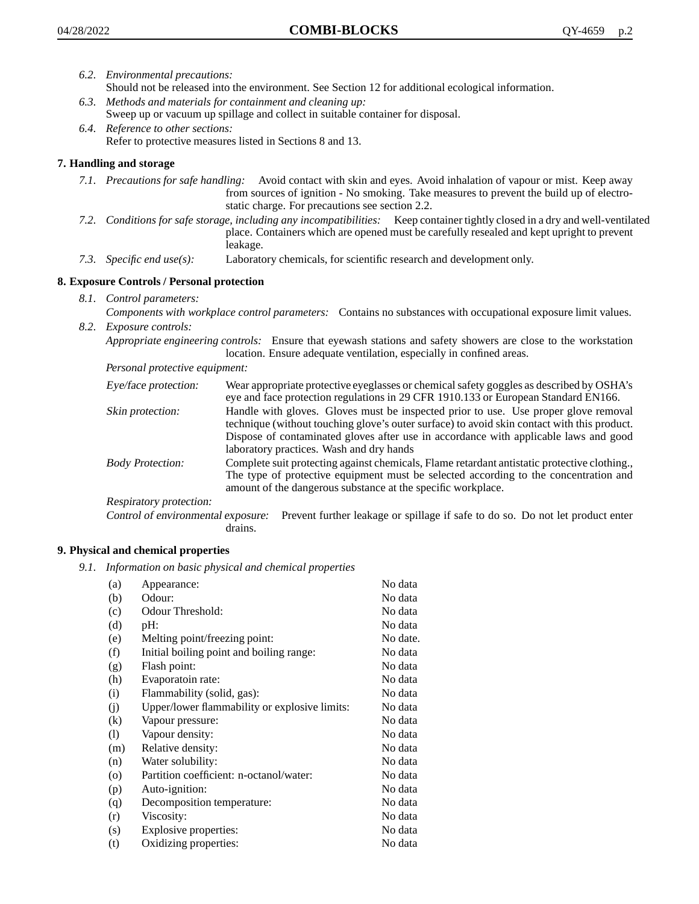- *6.2. Environmental precautions:* Should not be released into the environment. See Section 12 for additional ecological information.
- *6.3. Methods and materials for containment and cleaning up:* Sweep up or vacuum up spillage and collect in suitable container for disposal.
- *6.4. Reference to other sections:* Refer to protective measures listed in Sections 8 and 13.

# **7. Handling and storage**

- *7.1. Precautions for safe handling:* Avoid contact with skin and eyes. Avoid inhalation of vapour or mist. Keep away from sources of ignition - No smoking. Take measures to prevent the build up of electrostatic charge. For precautions see section 2.2.
- *7.2. Conditions for safe storage, including any incompatibilities:* Keep container tightly closed in a dry and well-ventilated place. Containers which are opened must be carefully resealed and kept upright to prevent leakage.
- *7.3. Specific end use(s):* Laboratory chemicals, for scientific research and development only.

# **8. Exposure Controls / Personal protection**

- *8.1. Control parameters:*
- *Components with workplace control parameters:* Contains no substances with occupational exposure limit values. *8.2. Exposure controls:*

*Appropriate engineering controls:* Ensure that eyewash stations and safety showers are close to the workstation location. Ensure adequate ventilation, especially in confined areas.

*Personal protective equipment:*

| Eye/face protection:    | Wear appropriate protective eyeglasses or chemical safety goggles as described by OSHA's<br>eye and face protection regulations in 29 CFR 1910.133 or European Standard EN166.                                                                                                                                         |
|-------------------------|------------------------------------------------------------------------------------------------------------------------------------------------------------------------------------------------------------------------------------------------------------------------------------------------------------------------|
| Skin protection:        | Handle with gloves. Gloves must be inspected prior to use. Use proper glove removal<br>technique (without touching glove's outer surface) to avoid skin contact with this product.<br>Dispose of contaminated gloves after use in accordance with applicable laws and good<br>laboratory practices. Wash and dry hands |
| <b>Body Protection:</b> | Complete suit protecting against chemicals, Flame retardant antistatic protective clothing.,<br>The type of protective equipment must be selected according to the concentration and<br>amount of the dangerous substance at the specific workplace.                                                                   |
| Respiratory protection: |                                                                                                                                                                                                                                                                                                                        |

Control of environmental exposure: Prevent further leakage or spillage if safe to do so. Do not let product enter drains.

# **9. Physical and chemical properties**

*9.1. Information on basic physical and chemical properties*

| (a)     | Appearance:                                   | No data  |
|---------|-----------------------------------------------|----------|
| (b)     | Odour:                                        | No data  |
| (c)     | Odour Threshold:                              | No data  |
| (d)     | pH:                                           | No data  |
| (e)     | Melting point/freezing point:                 | No date. |
| (f)     | Initial boiling point and boiling range:      | No data  |
| (g)     | Flash point:                                  | No data  |
| (h)     | Evaporatoin rate:                             | No data  |
| (i)     | Flammability (solid, gas):                    | No data  |
| (i)     | Upper/lower flammability or explosive limits: | No data  |
| (k)     | Vapour pressure:                              | No data  |
| (1)     | Vapour density:                               | No data  |
| (m)     | Relative density:                             | No data  |
| (n)     | Water solubility:                             | No data  |
| $\circ$ | Partition coefficient: n-octanol/water:       | No data  |
| (p)     | Auto-ignition:                                | No data  |
| (q)     | Decomposition temperature:                    | No data  |
| (r)     | Viscosity:                                    | No data  |
| (s)     | Explosive properties:                         | No data  |
| (t)     | Oxidizing properties:                         | No data  |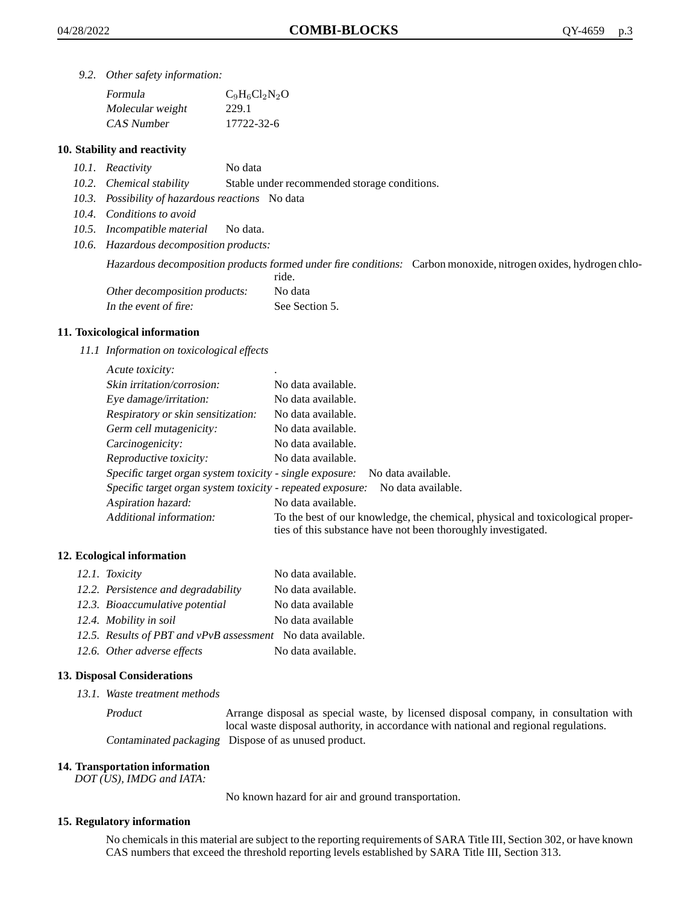*9.2. Other safety information:*

| Formula          | $C_9H_6Cl_2N_2O$ |
|------------------|------------------|
| Molecular weight | 229.1            |
| CAS Number       | 17722-32-6       |

# **10. Stability and reactivity**

- *10.1. Reactivity* No data
- *10.2. Chemical stability* Stable under recommended storage conditions.
- *10.3. Possibility of hazardous reactions* No data
- *10.4. Conditions to avoid*
- *10.5. Incompatible material* No data.
- *10.6. Hazardous decomposition products:*

Hazardous decomposition products formed under fire conditions: Carbon monoxide, nitrogen oxides, hydrogen chlo-

|                               | ride.          |
|-------------------------------|----------------|
| Other decomposition products: | No data        |
| In the event of fire:         | See Section 5. |

### **11. Toxicological information**

*11.1 Information on toxicological effects*

| Acute toxicity:                                            | ٠                                                                                                                                               |
|------------------------------------------------------------|-------------------------------------------------------------------------------------------------------------------------------------------------|
| Skin irritation/corrosion:                                 | No data available.                                                                                                                              |
| Eye damage/irritation:                                     | No data available.                                                                                                                              |
| Respiratory or skin sensitization:                         | No data available.                                                                                                                              |
| Germ cell mutagenicity:                                    | No data available.                                                                                                                              |
| Carcinogenicity:                                           | No data available.                                                                                                                              |
| Reproductive toxicity:                                     | No data available.                                                                                                                              |
| Specific target organ system toxicity - single exposure:   | No data available.                                                                                                                              |
| Specific target organ system toxicity - repeated exposure: | No data available.                                                                                                                              |
| Aspiration hazard:                                         | No data available.                                                                                                                              |
| Additional information:                                    | To the best of our knowledge, the chemical, physical and toxicological proper-<br>ties of this substance have not been thoroughly investigated. |

## **12. Ecological information**

| 12.1. Toxicity                                              | No data available. |
|-------------------------------------------------------------|--------------------|
| 12.2. Persistence and degradability                         | No data available. |
| 12.3. Bioaccumulative potential                             | No data available  |
| 12.4. Mobility in soil                                      | No data available  |
| 12.5. Results of PBT and vPvB assessment No data available. |                    |
| 12.6. Other adverse effects                                 | No data available. |

## **13. Disposal Considerations**

*13.1. Waste treatment methods*

Product Arrange disposal as special waste, by licensed disposal company, in consultation with local waste disposal authority, in accordance with national and regional regulations. Contaminated packaging Dispose of as unused product.

#### **14. Transportation information**

*DOT (US), IMDG and IATA:*

No known hazard for air and ground transportation.

## **15. Regulatory information**

No chemicals in this material are subject to the reporting requirements of SARA Title III, Section 302, or have known CAS numbers that exceed the threshold reporting levels established by SARA Title III, Section 313.